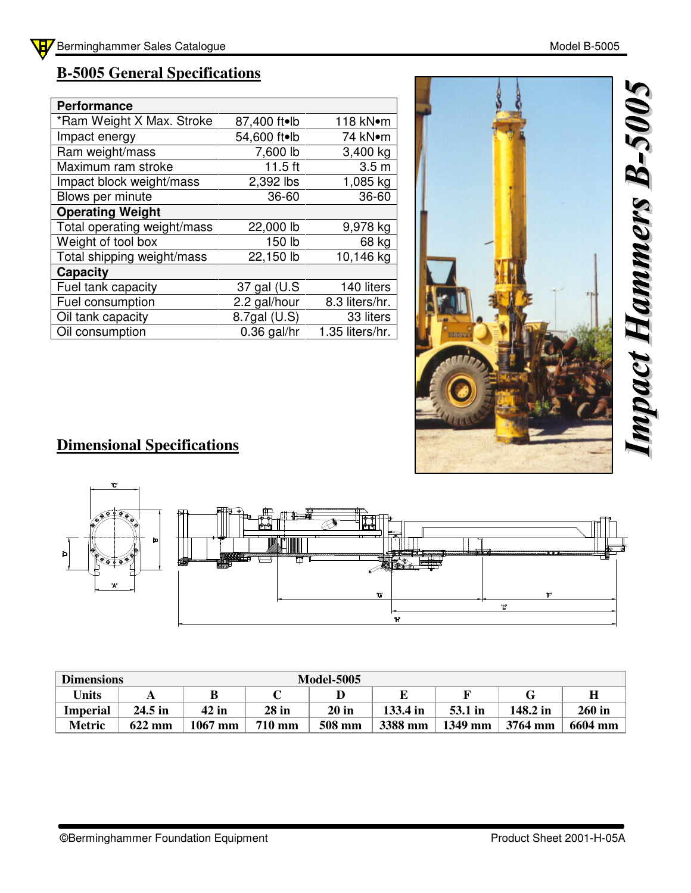## **B-5005 General Specifications**

| <b>Performance</b>          |               |                  |
|-----------------------------|---------------|------------------|
| *Ram Weight X Max. Stroke   | 87,400 ft•lb  | 118 kN•m         |
| Impact energy               | 54,600 ft•lb  | 74 kN•m          |
| Ram weight/mass             | 7,600 lb      | 3,400 kg         |
| Maximum ram stroke          | $11.5$ ft     | 3.5 <sub>m</sub> |
| Impact block weight/mass    | 2,392 lbs     | 1,085 kg         |
| Blows per minute            | 36-60         | 36-60            |
| <b>Operating Weight</b>     |               |                  |
| Total operating weight/mass | 22,000 lb     | 9,978 kg         |
| Weight of tool box          | 150 lb        | 68 kg            |
| Total shipping weight/mass  | 22,150 lb     | 10,146 kg        |
| Capacity                    |               |                  |
| Fuel tank capacity          | 37 gal (U.S   | 140 liters       |
| Fuel consumption            | 2.2 gal/hour  | 8.3 liters/hr.   |
| Oil tank capacity           | 8.7gal (U.S)  | 33 liters        |
| Oil consumption             | $0.36$ gal/hr | 1.35 liters/hr.  |



## **Dimensional Specifications**



| <b>Dimensions</b> |                  | <b>Model-5005</b> |               |         |          |         |          |               |  |
|-------------------|------------------|-------------------|---------------|---------|----------|---------|----------|---------------|--|
| <b>Units</b>      |                  | B                 |               |         |          |         |          |               |  |
| <b>Imperial</b>   | 24.5 in          | $42$ in           | $28$ in       | $20$ in | 133.4 in | 53.1 in | 148.2 in | <b>260 in</b> |  |
| <b>Metric</b>     | $622 \text{ mm}$ | $1067$ mm         | <b>710 mm</b> | 508 mm  | 3388 mm  | 1349 mm | 3764 mm  | 6604 mm       |  |